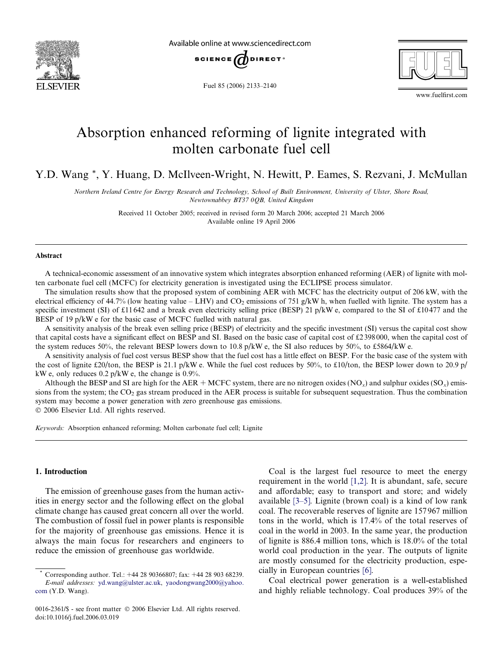

Available online at www.sciencedirect.com



Fuel 85 (2006) 2133–2140



www.fuelfirst.com

# Absorption enhanced reforming of lignite integrated with molten carbonate fuel cell

Y.D. Wang \*, Y. Huang, D. McIlveen-Wright, N. Hewitt, P. Eames, S. Rezvani, J. McMullan

Northern Ireland Centre for Energy Research and Technology, School of Built Environment, University of Ulster, Shore Road, Newtownabbey BT37 0QB, United Kingdom

> Received 11 October 2005; received in revised form 20 March 2006; accepted 21 March 2006 Available online 19 April 2006

#### Abstract

A technical-economic assessment of an innovative system which integrates absorption enhanced reforming (AER) of lignite with molten carbonate fuel cell (MCFC) for electricity generation is investigated using the ECLIPSE process simulator.

The simulation results show that the proposed system of combining AER with MCFC has the electricity output of 206 kW, with the electrical efficiency of 44.7% (low heating value – LHV) and CO<sub>2</sub> emissions of 751 g/kW h, when fuelled with lignite. The system has a specific investment (SI) of £11642 and a break even electricity selling price (BESP) 21 p/kW e, compared to the SI of £10477 and the BESP of 19 p/kW e for the basic case of MCFC fuelled with natural gas.

A sensitivity analysis of the break even selling price (BESP) of electricity and the specific investment (SI) versus the capital cost show that capital costs have a significant effect on BESP and SI. Based on the basic case of capital cost of £2 398 000, when the capital cost of the system reduces 50%, the relevant BESP lowers down to 10.8 p/kW e, the SI also reduces by 50%, to £5864/kW e.

A sensitivity analysis of fuel cost versus BESP show that the fuel cost has a little effect on BESP. For the basic case of the system with the cost of lignite £20/ton, the BESP is 21.1 p/kW e. While the fuel cost reduces by 50%, to £10/ton, the BESP lower down to 20.9 p/ kW e, only reduces 0.2 p/kW e, the change is 0.9%.

Although the BESP and SI are high for the AER + MCFC system, there are no nitrogen oxides (NO<sub>x</sub>) and sulphur oxides (SO<sub>x</sub>) emissions from the system; the  $CO<sub>2</sub>$  gas stream produced in the AER process is suitable for subsequent sequestration. Thus the combination system may become a power generation with zero greenhouse gas emissions.

 $© 2006 Elsevier Ltd. All rights reserved.$ 

Keywords: Absorption enhanced reforming; Molten carbonate fuel cell; Lignite

#### 1. Introduction

The emission of greenhouse gases from the human activities in energy sector and the following effect on the global climate change has caused great concern all over the world. The combustion of fossil fuel in power plants is responsible for the majority of greenhouse gas emissions. Hence it is always the main focus for researchers and engineers to reduce the emission of greenhouse gas worldwide.

Coal is the largest fuel resource to meet the energy requirement in the world [\[1,2\].](#page-6-0) It is abundant, safe, secure and affordable; easy to transport and store; and widely available [\[3–5\]](#page-6-0). Lignite (brown coal) is a kind of low rank coal. The recoverable reserves of lignite are 157 967 million tons in the world, which is 17.4% of the total reserves of coal in the world in 2003. In the same year, the production of lignite is 886.4 million tons, which is 18.0% of the total world coal production in the year. The outputs of lignite are mostly consumed for the electricity production, especially in European countries [\[6\].](#page-6-0)

Coal electrical power generation is a well-established and highly reliable technology. Coal produces 39% of the

Corresponding author. Tel.: +44 28 90366807; fax: +44 28 903 68239. E-mail addresses: [yd.wang@ulster.ac.uk](mailto:yd.wang@ulster.ac.uk), [yaodongwang2000@yahoo.](mailto:yaodongwang2000@yahoo.com) [com](mailto:yaodongwang2000@yahoo.com) (Y.D. Wang).

<sup>0016-2361/\$ -</sup> see front matter © 2006 Elsevier Ltd. All rights reserved. doi:10.1016/j.fuel.2006.03.019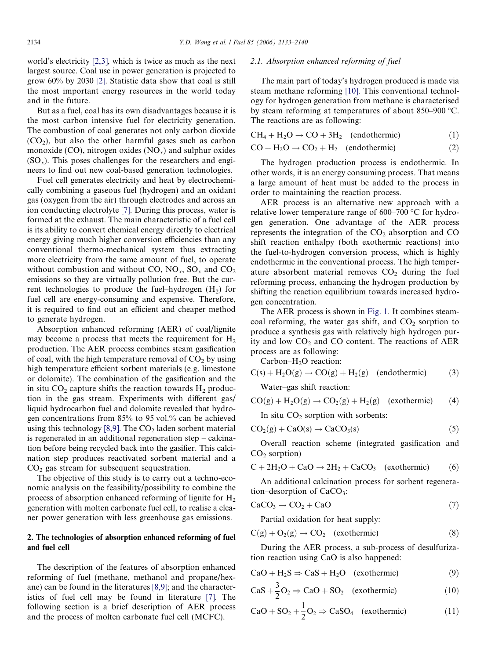world's electricity [\[2,3\]](#page-6-0), which is twice as much as the next largest source. Coal use in power generation is projected to grow 60% by 2030 [\[2\]](#page-6-0). Statistic data show that coal is still the most important energy resources in the world today and in the future.

But as a fuel, coal has its own disadvantages because it is the most carbon intensive fuel for electricity generation. The combustion of coal generates not only carbon dioxide  $(CO<sub>2</sub>)$ , but also the other harmful gases such as carbon monoxide (CO), nitrogen oxides  $(NO<sub>x</sub>)$  and sulphur oxides  $(SO<sub>x</sub>)$ . This poses challenges for the researchers and engineers to find out new coal-based generation technologies.

Fuel cell generates electricity and heat by electrochemically combining a gaseous fuel (hydrogen) and an oxidant gas (oxygen from the air) through electrodes and across an ion conducting electrolyte [\[7\]](#page-6-0). During this process, water is formed at the exhaust. The main characteristic of a fuel cell is its ability to convert chemical energy directly to electrical energy giving much higher conversion efficiencies than any conventional thermo-mechanical system thus extracting more electricity from the same amount of fuel, to operate without combustion and without CO,  $NO_x$ ,  $SO_x$  and  $CO_2$ emissions so they are virtually pollution free. But the current technologies to produce the fuel–hydrogen  $(H<sub>2</sub>)$  for fuel cell are energy-consuming and expensive. Therefore, it is required to find out an efficient and cheaper method to generate hydrogen.

Absorption enhanced reforming (AER) of coal/lignite may become a process that meets the requirement for  $H_2$ production. The AER process combines steam gasification of coal, with the high temperature removal of  $CO<sub>2</sub>$  by using high temperature efficient sorbent materials (e.g. limestone or dolomite). The combination of the gasification and the in situ  $CO<sub>2</sub>$  capture shifts the reaction towards  $H<sub>2</sub>$  production in the gas stream. Experiments with different gas/ liquid hydrocarbon fuel and dolomite revealed that hydrogen concentrations from 85% to 95 vol.% can be achieved using this technology [\[8,9\]](#page-6-0). The  $CO<sub>2</sub>$  laden sorbent material is regenerated in an additional regeneration step – calcination before being recycled back into the gasifier. This calcination step produces reactivated sorbent material and a  $CO<sub>2</sub>$  gas stream for subsequent sequestration.

The objective of this study is to carry out a techno-economic analysis on the feasibility/possibility to combine the process of absorption enhanced reforming of lignite for  $H_2$ generation with molten carbonate fuel cell, to realise a cleaner power generation with less greenhouse gas emissions.

## 2. The technologies of absorption enhanced reforming of fuel and fuel cell

The description of the features of absorption enhanced reforming of fuel (methane, methanol and propane/hexane) can be found in the literatures [\[8,9\]](#page-6-0); and the characteristics of fuel cell may be found in literature [\[7\]](#page-6-0). The following section is a brief description of AER process and the process of molten carbonate fuel cell (MCFC).

## 2.1. Absorption enhanced reforming of fuel

The main part of today's hydrogen produced is made via steam methane reforming [\[10\]](#page-6-0). This conventional technology for hydrogen generation from methane is characterised by steam reforming at temperatures of about 850–900 °C. The reactions are as following:

 $CH_4 + H_2O \rightarrow CO + 3H_2$  (endothermic) (1)

$$
CO + H2O \rightarrow CO2 + H2 (endothermic)
$$
 (2)

The hydrogen production process is endothermic. In other words, it is an energy consuming process. That means a large amount of heat must be added to the process in order to maintaining the reaction process.

AER process is an alternative new approach with a relative lower temperature range of  $600-700$  °C for hydrogen generation. One advantage of the AER process represents the integration of the  $CO<sub>2</sub>$  absorption and  $CO$ shift reaction enthalpy (both exothermic reactions) into the fuel-to-hydrogen conversion process, which is highly endothermic in the conventional process. The high temperature absorbent material removes  $CO<sub>2</sub>$  during the fuel reforming process, enhancing the hydrogen production by shifting the reaction equilibrium towards increased hydrogen concentration.

The AER process is shown in [Fig. 1.](#page-2-0) It combines steamcoal reforming, the water gas shift, and  $CO<sub>2</sub>$  sorption to produce a synthesis gas with relatively high hydrogen purity and low  $CO<sub>2</sub>$  and CO content. The reactions of AER process are as following:

Carbon–H2O reaction:

 $C(s) + H_2O(g) \rightarrow CO(g) + H_2(g)$  (endothermic) (3)

Water–gas shift reaction:

$$
CO(g) + H_2O(g) \rightarrow CO_2(g) + H_2(g) \quad (exothermic)
$$
 (4)

In situ  $CO<sub>2</sub>$  sorption with sorbents:

$$
CO2(g) + CaO(s) \rightarrow CaCO3(s)
$$
 (5)

Overall reaction scheme (integrated gasification and  $CO<sub>2</sub>$  sorption)

$$
C + 2H2O + CaO \rightarrow 2H2 + CaCO3 (exothermic)
$$
 (6)

An additional calcination process for sorbent regeneration–desorption of  $CaCO<sub>3</sub>$ :

$$
CaCO3 \rightarrow CO2 + CaO
$$
 (7)

Partial oxidation for heat supply:

$$
C(g) + O_2(g) \rightarrow CO_2 \quad (exothermic)
$$
 (8)

During the AER process, a sub-process of desulfurization reaction using CaO is also happened:

$$
CaO + H_2S \Rightarrow CaS + H_2O \quad (exothermic)
$$
 (9)

$$
CaS + \frac{3}{2}O_2 \Rightarrow CaO + SO_2 \quad \text{(exothermic)} \tag{10}
$$

$$
CaO + SO2 + \frac{1}{2}O2 \Rightarrow CaSO4 (exothermic)
$$
 (11)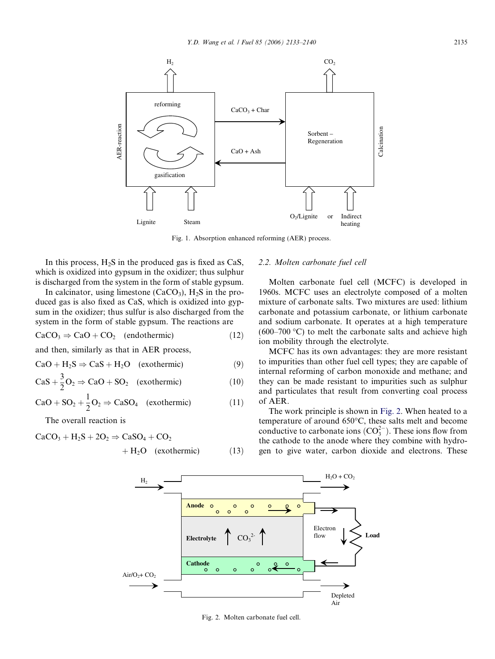<span id="page-2-0"></span>

Fig. 1. Absorption enhanced reforming (AER) process.

In this process,  $H_2S$  in the produced gas is fixed as CaS, which is oxidized into gypsum in the oxidizer; thus sulphur is discharged from the system in the form of stable gypsum.

In calcinator, using limestone  $(CaCO<sub>3</sub>)$ , H<sub>2</sub>S in the produced gas is also fixed as CaS, which is oxidized into gypsum in the oxidizer; thus sulfur is also discharged from the system in the form of stable gypsum. The reactions are

$$
CaCO3 \Rightarrow CaO + CO2 \quad (endothermic)
$$
 (12)

and then, similarly as that in AER process,

 $CaO + H_2S \Rightarrow CaS + H_2O$  (exothermic) (9)

$$
CaS + \frac{3}{2}O_2 \Rightarrow CaO + SO_2 \quad \text{(exothermic)} \tag{10}
$$

$$
CaO + SO2 + \frac{1}{2}O2 \Rightarrow CaSO4 (exothermic)
$$
 (11)

The overall reaction is

$$
CaCO3 + H2S + 2O2 \Rightarrow CaSO4 + CO2
$$
  
+ H<sub>2</sub>O (exothermic) (13)

## 2.2. Molten carbonate fuel cell

Molten carbonate fuel cell (MCFC) is developed in 1960s. MCFC uses an electrolyte composed of a molten mixture of carbonate salts. Two mixtures are used: lithium carbonate and potassium carbonate, or lithium carbonate and sodium carbonate. It operates at a high temperature (600–700 °C) to melt the carbonate salts and achieve high ion mobility through the electrolyte.

MCFC has its own advantages: they are more resistant to impurities than other fuel cell types; they are capable of internal reforming of carbon monoxide and methane; and they can be made resistant to impurities such as sulphur and particulates that result from converting coal process of AER.

The work principle is shown in Fig. 2. When heated to a temperature of around  $650^{\circ}$ C, these salts melt and become conductive to carbonate ions  $(CO_3^{2-})$ . These ions flow from the cathode to the anode where they combine with hydrogen to give water, carbon dioxide and electrons. These



Fig. 2. Molten carbonate fuel cell.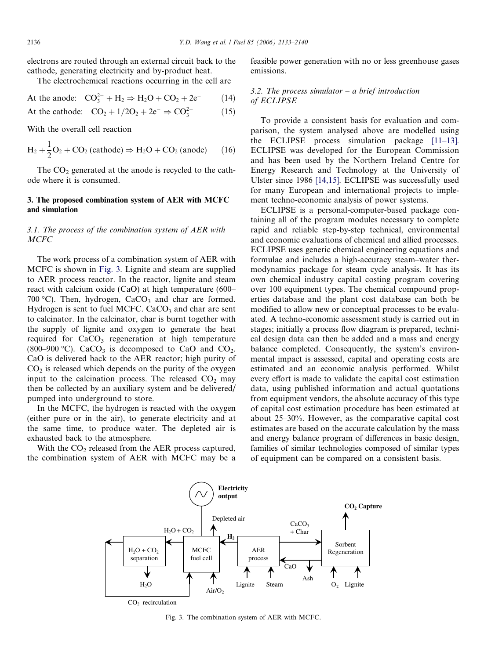electrons are routed through an external circuit back to the cathode, generating electricity and by-product heat.

The electrochemical reactions occurring in the cell are

At the anode: 
$$
CO_3^{2-} + H_2 \Rightarrow H_2O + CO_2 + 2e^-
$$
 (14)

At the cathode:  $CO_2 + 1/2O_2 + 2e^- \Rightarrow CO_3^{2-}$  $(15)$ 

With the overall cell reaction

$$
H_2 + \frac{1}{2}O_2 + CO_2 \text{ (cathode)} \Rightarrow H_2O + CO_2 \text{ (anode)} \tag{16}
$$

The  $CO<sub>2</sub>$  generated at the anode is recycled to the cathode where it is consumed.

## 3. The proposed combination system of AER with MCFC and simulation

## 3.1. The process of the combination system of AER with MCFC

The work process of a combination system of AER with MCFC is shown in Fig. 3. Lignite and steam are supplied to AER process reactor. In the reactor, lignite and steam react with calcium oxide (CaO) at high temperature (600– 700 °C). Then, hydrogen,  $CaCO<sub>3</sub>$  and char are formed. Hydrogen is sent to fuel MCFC.  $CaCO<sub>3</sub>$  and char are sent to calcinator. In the calcinator, char is burnt together with the supply of lignite and oxygen to generate the heat required for  $CaCO<sub>3</sub>$  regeneration at high temperature (800–900 °C). CaCO<sub>3</sub> is decomposed to CaO and CO<sub>2</sub>. CaO is delivered back to the AER reactor; high purity of  $CO<sub>2</sub>$  is released which depends on the purity of the oxygen input to the calcination process. The released  $CO<sub>2</sub>$  may then be collected by an auxiliary system and be delivered/ pumped into underground to store.

In the MCFC, the hydrogen is reacted with the oxygen (either pure or in the air), to generate electricity and at the same time, to produce water. The depleted air is exhausted back to the atmosphere.

With the  $CO<sub>2</sub>$  released from the AER process captured, the combination system of AER with MCFC may be a feasible power generation with no or less greenhouse gases emissions.

# 3.2. The process simulator  $-$  a brief introduction of ECLIPSE

To provide a consistent basis for evaluation and comparison, the system analysed above are modelled using the ECLIPSE process simulation package [\[11–13\]](#page-6-0). ECLIPSE was developed for the European Commission and has been used by the Northern Ireland Centre for Energy Research and Technology at the University of Ulster since 1986 [\[14,15\]](#page-7-0). ECLIPSE was successfully used for many European and international projects to implement techno-economic analysis of power systems.

ECLIPSE is a personal-computer-based package containing all of the program modules necessary to complete rapid and reliable step-by-step technical, environmental and economic evaluations of chemical and allied processes. ECLIPSE uses generic chemical engineering equations and formulae and includes a high-accuracy steam–water thermodynamics package for steam cycle analysis. It has its own chemical industry capital costing program covering over 100 equipment types. The chemical compound properties database and the plant cost database can both be modified to allow new or conceptual processes to be evaluated. A techno-economic assessment study is carried out in stages; initially a process flow diagram is prepared, technical design data can then be added and a mass and energy balance completed. Consequently, the system's environmental impact is assessed, capital and operating costs are estimated and an economic analysis performed. Whilst every effort is made to validate the capital cost estimation data, using published information and actual quotations from equipment vendors, the absolute accuracy of this type of capital cost estimation procedure has been estimated at about 25–30%. However, as the comparative capital cost estimates are based on the accurate calculation by the mass and energy balance program of differences in basic design, families of similar technologies composed of similar types of equipment can be compared on a consistent basis.



Fig. 3. The combination system of AER with MCFC.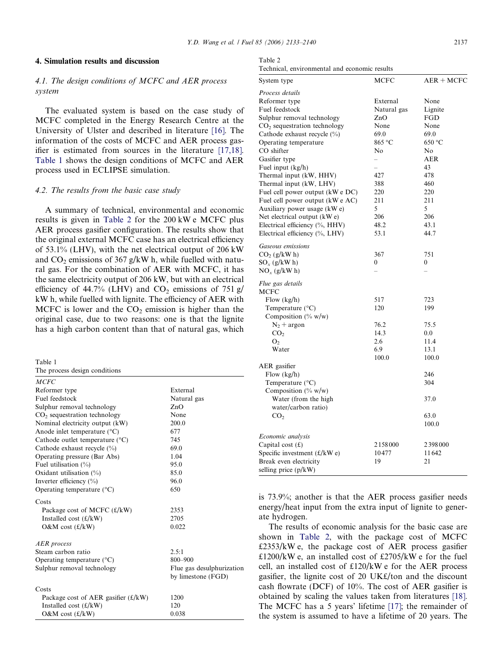### <span id="page-4-0"></span>4. Simulation results and discussion

## 4.1. The design conditions of MCFC and AER process system

The evaluated system is based on the case study of MCFC completed in the Energy Research Centre at the University of Ulster and described in literature [\[16\]](#page-7-0). The information of the costs of MCFC and AER process gasifier is estimated from sources in the literature [\[17,18\].](#page-7-0) Table 1 shows the design conditions of MCFC and AER process used in ECLIPSE simulation.

## 4.2. The results from the basic case study

A summary of technical, environmental and economic results is given in Table 2 for the 200 kW e MCFC plus AER process gasifier configuration. The results show that the original external MCFC case has an electrical efficiency of 53.1% (LHV), with the net electrical output of 206 kW and  $CO<sub>2</sub>$  emissions of 367 g/kW h, while fuelled with natural gas. For the combination of AER with MCFC, it has the same electricity output of 206 kW, but with an electrical efficiency of 44.7% (LHV) and  $CO<sub>2</sub>$  emissions of 751 g/ kW h, while fuelled with lignite. The efficiency of AER with MCFC is lower and the  $CO<sub>2</sub>$  emission is higher than the original case, due to two reasons: one is that the lignite has a high carbon content than that of natural gas, which

| Table 1                                  |                                                 |
|------------------------------------------|-------------------------------------------------|
| The process design conditions            |                                                 |
| <b>MCFC</b>                              |                                                 |
| Reformer type                            | External                                        |
| Fuel feedstock                           | Natural gas                                     |
| Sulphur removal technology               | ZnO                                             |
| $CO2$ sequestration technology           | None                                            |
| Nominal electricity output (kW)          | 200.0                                           |
| Anode inlet temperature $(^{\circ}C)$    | 677                                             |
| Cathode outlet temperature $(^{\circ}C)$ | 745                                             |
| Cathode exhaust recycle (%)              | 69.0                                            |
| Operating pressure (Bar Abs)             | 1.04                                            |
| Fuel utilisation $(\% )$                 | 95.0                                            |
| Oxidant utilisation $(\%)$               | 85.0                                            |
| Inverter efficiency $(\% )$              | 96.0                                            |
| Operating temperature $(^{\circ}C)$      | 650                                             |
| Costs                                    |                                                 |
| Package cost of MCFC $(f/kW)$            | 2353                                            |
| Installed cost $(f/kW)$                  | 2705                                            |
| O&M cost $(\text{£}/kW)$                 | 0.022                                           |
| <b>AER</b> process                       |                                                 |
| Steam carbon ratio                       | 2.5:1                                           |
| Operating temperature $(^{\circ}C)$      | 800-900                                         |
| Sulphur removal technology               | Flue gas desulphurization<br>by limestone (FGD) |
| Costs                                    |                                                 |
| Package cost of AER gasifier $(f/kW)$    | 1200                                            |
| Installed cost $(f/kW)$                  | 120                                             |
| O&M cost $(\text{£}/kW)$                 | 0.038                                           |

| Fable |  |
|-------|--|
|-------|--|

| Technical, environmental and economic results |  |  |  |
|-----------------------------------------------|--|--|--|
|-----------------------------------------------|--|--|--|

| System type                      | MCFC                     | $AER + MCFC$             |
|----------------------------------|--------------------------|--------------------------|
| Process details                  |                          |                          |
| Reformer type                    | External                 | None                     |
| Fuel feedstock                   | Natural gas              | Lignite                  |
| Sulphur removal technology       | ZnO                      | FGD                      |
| $CO2$ sequestration technology   | None                     | None                     |
| Cathode exhaust recycle (%)      | 69.0                     | 69.0                     |
| Operating temperature            | 865 °C                   | 650 °C                   |
| CO shifter                       | No                       | No                       |
| Gasifier type                    | $\overline{\phantom{0}}$ | <b>AER</b>               |
| Fuel input (kg/h)                |                          | 43                       |
| Thermal input (kW, HHV)          | 427                      | 478                      |
| Thermal input (kW, LHV)          | 388                      | 460                      |
| Fuel cell power output (kW e DC) | 220                      | 220                      |
| Fuel cell power output (kW e AC) | 211                      | 211                      |
| Auxiliary power usage (kWe)      | 5                        | 5                        |
| Net electrical output (kWe)      | 206                      | 206                      |
| Electrical efficiency (%, HHV)   | 48.2                     | 43.1                     |
| Electrical efficiency (%, LHV)   | 53.1                     | 44.7                     |
| Gaseous emissions                |                          |                          |
| $CO2$ (g/kW h)                   | 367                      | 751                      |
| $SO_x$ (g/kW h)                  | $\mathbf{0}$             | $\bf{0}$                 |
| $NO_r$ (g/kW h)                  | $\overline{\phantom{0}}$ | $\overline{\phantom{0}}$ |
| Flue gas details                 |                          |                          |
| <b>MCFC</b>                      |                          |                          |
| Flow (kg/h)                      | 517                      | 723                      |
| Temperature (°C)                 | 120                      | 199                      |
| Composition (% w/w)              |                          |                          |
| $N_2$ + argon                    | 76.2                     | 75.5                     |
| CO <sub>2</sub>                  | 14.3                     | 0.0                      |
| O <sub>2</sub>                   | 2.6                      | 11.4                     |
| Water                            | 6.9                      | 13.1                     |
|                                  | 100.0                    | 100.0                    |
| AER gasifier                     |                          |                          |
| Flow $(kg/h)$                    |                          | 246                      |
| Temperature (°C)                 |                          | 304                      |
| Composition (% w/w)              |                          |                          |
| Water (from the high             |                          | 37.0                     |
| water/carbon ratio)              |                          |                          |
| CO <sub>2</sub>                  |                          | 63.0                     |
|                                  |                          | 100.0                    |
| Economic analysis                |                          |                          |
| Capital cost (£)                 | 2158000                  | 2398000                  |
| Specific investment (£/kWe)      | 10477                    | 11642                    |
| Break even electricity           | 19                       | 21                       |
| selling price (p/kW)             |                          |                          |

is 73.9%; another is that the AER process gasifier needs energy/heat input from the extra input of lignite to generate hydrogen.

The results of economic analysis for the basic case are shown in Table 2, with the package cost of MCFC £2353/kW e, the package cost of AER process gasifier £1200/kW e, an installed cost of £2705/kW e for the fuel cell, an installed cost of £120/kW e for the AER process gasifier, the lignite cost of 20 UK£/ton and the discount cash flowrate (DCF) of 10%. The cost of AER gasifier is obtained by scaling the values taken from literatures [\[18\].](#page-7-0) The MCFC has a 5 years' lifetime [\[17\];](#page-7-0) the remainder of the system is assumed to have a lifetime of 20 years. The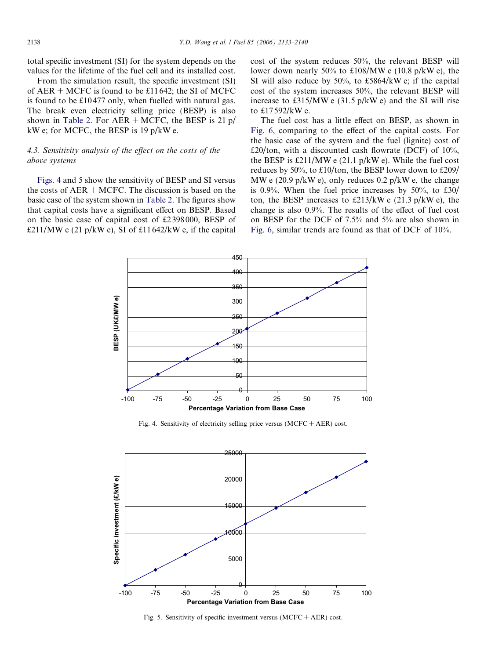total specific investment (SI) for the system depends on the values for the lifetime of the fuel cell and its installed cost.

From the simulation result, the specific investment (SI) of  $AER + MCFC$  is found to be £11642; the SI of MCFC is found to be £10 477 only, when fuelled with natural gas. The break even electricity selling price (BESP) is also shown in [Table 2.](#page-4-0) For  $AER + MCFC$ , the BESP is 21 p/ kW e; for MCFC, the BESP is 19 p/kW e.

## 4.3. Sensitivity analysis of the effect on the costs of the above systems

Figs. 4 and 5 show the sensitivity of BESP and SI versus the costs of  $AER + MCFC$ . The discussion is based on the basic case of the system shown in [Table 2](#page-4-0). The figures show that capital costs have a significant effect on BESP. Based on the basic case of capital cost of £2 398 000, BESP of £211/MW e (21 p/kW e), SI of £11642/kW e, if the capital

cost of the system reduces 50%, the relevant BESP will lower down nearly 50% to £108/MW e (10.8 p/kW e), the SI will also reduce by  $50\%$ , to £5864/kW e; if the capital cost of the system increases 50%, the relevant BESP will increase to £315/MW e  $(31.5 \text{ p/kW e})$  and the SI will rise to £17 592/kW e.

The fuel cost has a little effect on BESP, as shown in [Fig. 6](#page-6-0), comparing to the effect of the capital costs. For the basic case of the system and the fuel (lignite) cost of £20/ton, with a discounted cash flowrate (DCF) of  $10\%$ , the BESP is  $\text{\pounds}211/MW$  e (21.1 p/kW e). While the fuel cost reduces by 50%, to £10/ton, the BESP lower down to £209/ MW e (20.9 p/kW e), only reduces 0.2 p/kW e, the change is 0.9%. When the fuel price increases by 50%, to £30/ ton, the BESP increases to  $\text{\pounds}213/\text{kW}$  e (21.3 p/kW e), the change is also 0.9%. The results of the effect of fuel cost on BESP for the DCF of 7.5% and 5% are also shown in [Fig. 6](#page-6-0), similar trends are found as that of DCF of 10%.



Fig. 4. Sensitivity of electricity selling price versus  $(MCFC + AER)$  cost.



Fig. 5. Sensitivity of specific investment versus (MCFC + AER) cost.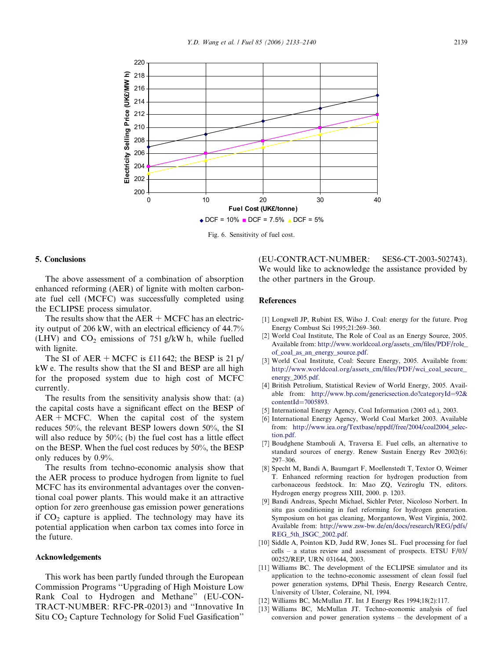<span id="page-6-0"></span>

Fig. 6. Sensitivity of fuel cost.

#### 5. Conclusions

The above assessment of a combination of absorption enhanced reforming (AER) of lignite with molten carbonate fuel cell (MCFC) was successfully completed using the ECLIPSE process simulator.

The results show that the  $AER + MCFC$  has an electricity output of 206 kW, with an electrical efficiency of 44.7% (LHV) and  $CO<sub>2</sub>$  emissions of 751 g/kW h, while fuelled with lignite.

The SI of  $AER + MCFC$  is £11642; the BESP is 21 p/ kW e. The results show that the SI and BESP are all high for the proposed system due to high cost of MCFC currently.

The results from the sensitivity analysis show that: (a) the capital costs have a significant effect on the BESP of  $AER + MCFC$ . When the capital cost of the system reduces 50%, the relevant BESP lowers down 50%, the SI will also reduce by 50%; (b) the fuel cost has a little effect on the BESP. When the fuel cost reduces by 50%, the BESP only reduces by 0.9%.

The results from techno-economic analysis show that the AER process to produce hydrogen from lignite to fuel MCFC has its environmental advantages over the conventional coal power plants. This would make it an attractive option for zero greenhouse gas emission power generations if  $CO<sub>2</sub>$  capture is applied. The technology may have its potential application when carbon tax comes into force in the future.

#### Acknowledgements

This work has been partly funded through the European Commission Programs ''Upgrading of High Moisture Low Rank Coal to Hydrogen and Methane'' (EU-CON-TRACT-NUMBER: RFC-PR-02013) and ''Innovative In Situ CO<sub>2</sub> Capture Technology for Solid Fuel Gasification"

(EU-CONTRACT-NUMBER: SES6-CT-2003-502743). We would like to acknowledge the assistance provided by the other partners in the Group.

#### References

- [1] Longwell JP, Rubint ES, Wilso J. Coal: energy for the future. Prog Energy Combust Sci 1995;21:269–360.
- [2] World Coal Institute, The Role of Coal as an Energy Source, 2005. Available from: [http://www.worldcoal.org/assets\\_cm/files/PDF/role\\_](http://www.worldcoal.org/assets_cm/files/PDF/role_of_coal_as_an_energy_source.pdf) [of\\_coal\\_as\\_an\\_energy\\_source.pdf](http://www.worldcoal.org/assets_cm/files/PDF/role_of_coal_as_an_energy_source.pdf).
- [3] World Coal Institute, Coal: Secure Energy, 2005. Available from: [http://www.worldcoal.org/assets\\_cm/files/PDF/wci\\_coal\\_secure\\_](http://www.worldcoal.org/assets_cm/files/PDF/wci_coal_secure_energy_2005.pdf) [energy\\_2005.pdf.](http://www.worldcoal.org/assets_cm/files/PDF/wci_coal_secure_energy_2005.pdf)
- [4] British Petrolium, Statistical Review of World Energy, 2005. Available from: [http://www.bp.com/genericsection.do?categoryId=92&](http://www.bp.com/genericsection.do?categoryId=92&contentId=7005893) [contentId=7005893.](http://www.bp.com/genericsection.do?categoryId=92&contentId=7005893)
- [5] International Energy Agency, Coal Information (2003 ed.), 2003.
- [6] International Energy Agency, World Coal Market 2003. Available from: [http://www.iea.org/Textbase/nppdf/free/2004/coal2004\\_selec](http://www.iea.org/Textbase/nppdf/free/2004/coal2004_selection.pdf)[tion.pdf](http://www.iea.org/Textbase/nppdf/free/2004/coal2004_selection.pdf).
- [7] Boudghene Stambouli A, Traversa E. Fuel cells, an alternative to standard sources of energy. Renew Sustain Energy Rev 2002(6): 297–306.
- [8] Specht M, Bandi A, Baumgart F, Moellenstedt T, Textor O, Weimer T. Enhanced reforming reaction for hydrogen production from carbonaceous feedstock. In: Mao ZQ, Veziroglu TN, editors. Hydrogen energy progress XIII, 2000. p. 1203.
- [9] Bandi Andreas, Specht Michael, Sichler Peter, Nicoloso Norbert. In situ gas conditioning in fuel reforming for hydrogen generation. Symposium on hot gas cleaning, Morgantown, West Virginia, 2002. Available from: [http://www.zsw-bw.de/en/docs/research/REG/pdfs/](http://www.zsw-bw.de/en/docs/research/REG/pdfs/REG_5th_ISGC_2002.pdf) [REG\\_5th\\_ISGC\\_2002.pdf](http://www.zsw-bw.de/en/docs/research/REG/pdfs/REG_5th_ISGC_2002.pdf).
- [10] Siddle A, Pointon KD, Judd RW, Jones SL. Fuel processing for fuel cells – a status review and assessment of prospects. ETSU F/03/ 00252/REP, URN 031644, 2003.
- [11] Williams BC. The development of the ECLIPSE simulator and its application to the techno-economic assessment of clean fossil fuel power generation systems, DPhil Thesis, Energy Research Centre, University of Ulster, Coleraine, NI, 1994.
- [12] Williams BC, McMullan JT. Int J Energy Res 1994;18(2):117.
- [13] Williams BC, McMullan JT. Techno-economic analysis of fuel conversion and power generation systems – the development of a